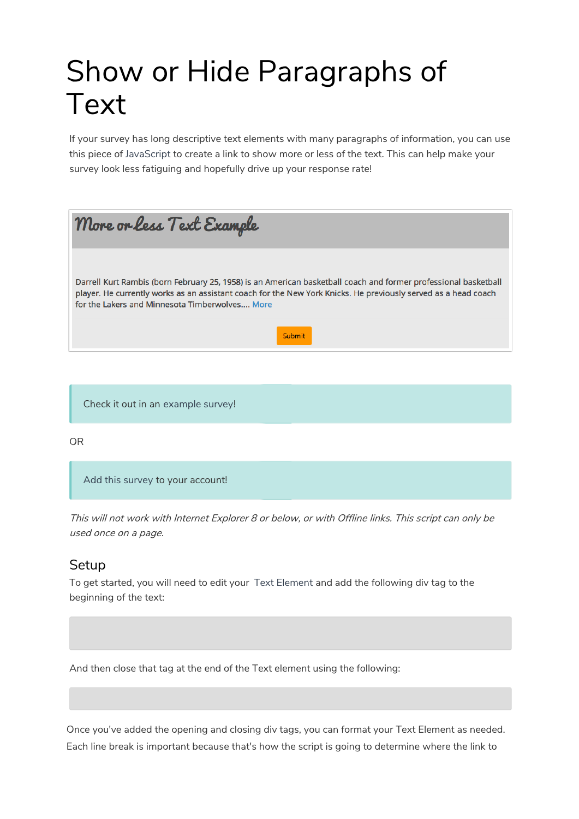## Show or Hide Paragraphs of Text

If your survey has long descriptive text elements with many paragraphs of information, you can use this piece of JavaScript to create a link to show more or less of the text. This can help make your survey look less fatiguing and hopefully drive up your response rate!

| More or less Text Example                                                                                                                                                                                                                                                           |
|-------------------------------------------------------------------------------------------------------------------------------------------------------------------------------------------------------------------------------------------------------------------------------------|
| Darrell Kurt Rambis (born February 25, 1958) is an American basketball coach and former professional basketball<br>player. He currently works as an assistant coach for the New York Knicks. He previously served as a head coach<br>for the Lakers and Minnesota Timberwolves More |
| Submit                                                                                                                                                                                                                                                                              |

Check it out in an example survey!

OR

Add this survey to your account!

This will not work with Internet Explorer 8 or below, or with Offline links. This script can only be used once on <sup>a</sup> page.

## **Setup**

To get started, you will need to edit your Text Element and add the following div tag to the beginning of the text:

And then close that tag at the end of the Text element using the following:

Once you've added the opening and closing div tags, you can format your Text Element as needed. Each line break is important because that's how the script is going to determine where the link to